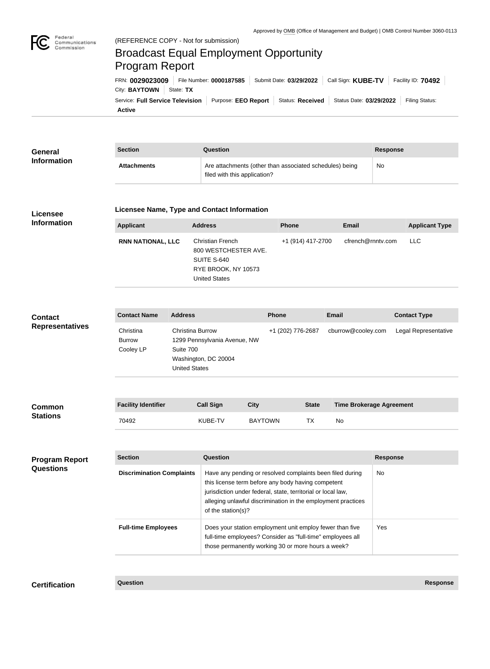

# Broadcast Equal Employment Opportunity Program Report

**Active** Service: Full Service Television | Purpose: EEO Report | Status: Received | Status Date: 03/29/2022 | Filing Status: City: **BAYTOWN** State: TX FRN: **0029023009** File Number: **0000187585** Submit Date: **03/29/2022** Call Sign: **KUBE-TV** Facility ID: **70492**

| General            | <b>Section</b>     | Question                                                                                | Response |
|--------------------|--------------------|-----------------------------------------------------------------------------------------|----------|
| <b>Information</b> | <b>Attachments</b> | Are attachments (other than associated schedules) being<br>filed with this application? | No       |

#### **Licensee Information**

#### **Licensee Name, Type and Contact Information**

| <b>Applicant</b>         | <b>Address</b>                                                                                         | <b>Phone</b>      | Email             | <b>Applicant Type</b> |
|--------------------------|--------------------------------------------------------------------------------------------------------|-------------------|-------------------|-----------------------|
| <b>RNN NATIONAL, LLC</b> | Christian French<br>800 WESTCHESTER AVE.<br>SUITE S-640<br>RYE BROOK, NY 10573<br><b>United States</b> | +1 (914) 417-2700 | cfrench@rnntv.com | <b>LLC</b>            |

## **Contact Representatives**

| <b>Contact Name</b> | <b>Address</b>               | <b>Phone</b>      | <b>Email</b>       | <b>Contact Type</b>  |
|---------------------|------------------------------|-------------------|--------------------|----------------------|
| Christina           | Christina Burrow             | +1 (202) 776-2687 | cburrow@cooley.com | Legal Representative |
| <b>Burrow</b>       | 1299 Pennsylvania Avenue, NW |                   |                    |                      |
| Cooley LP           | Suite 700                    |                   |                    |                      |
|                     | Washington, DC 20004         |                   |                    |                      |
|                     | United States                |                   |                    |                      |

| <b>Common</b><br><b>Stations</b> | <b>Facility Identifier</b> | <b>Call Sign</b> | City           | <b>State</b> | <b>Time Brokerage Agreement</b> |
|----------------------------------|----------------------------|------------------|----------------|--------------|---------------------------------|
|                                  | 70492                      | KUBE-TV          | <b>BAYTOWN</b> |              | No                              |

| <b>Program Report</b><br><b>Questions</b> | <b>Section</b>                   | Question                                                                                                                                                                                                                                                              | <b>Response</b> |
|-------------------------------------------|----------------------------------|-----------------------------------------------------------------------------------------------------------------------------------------------------------------------------------------------------------------------------------------------------------------------|-----------------|
|                                           | <b>Discrimination Complaints</b> | Have any pending or resolved complaints been filed during<br>this license term before any body having competent<br>jurisdiction under federal, state, territorial or local law,<br>alleging unlawful discrimination in the employment practices<br>of the station(s)? | No.             |
|                                           | <b>Full-time Employees</b>       | Does your station employment unit employ fewer than five<br>full-time employees? Consider as "full-time" employees all<br>those permanently working 30 or more hours a week?                                                                                          | Yes.            |

**Certification Question Response**